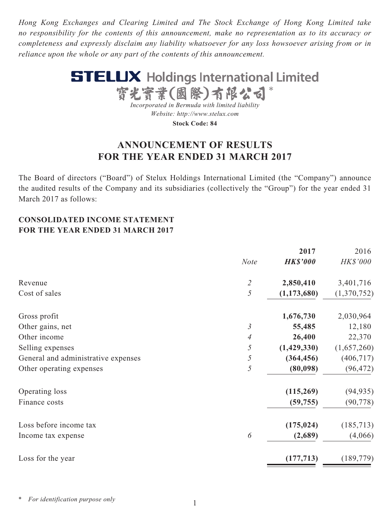*Hong Kong Exchanges and Clearing Limited and The Stock Exchange of Hong Kong Limited take no responsibility for the contents of this announcement, make no representation as to its accuracy or completeness and expressly disclaim any liability whatsoever for any loss howsoever arising from or in reliance upon the whole or any part of the contents of this announcement.*



**Stock Code: 84**

# **ANNOUNCEMENT OF RESULTS FOR THE YEAR ENDED 31 MARCH 2017**

The Board of directors ("Board") of Stelux Holdings International Limited (the "Company") announce the audited results of the Company and its subsidiaries (collectively the "Group") for the year ended 31 March 2017 as follows:

# **CONSOLIDATED INCOME STATEMENT FOR THE YEAR ENDED 31 MARCH 2017**

|                                     |                             | 2017            | 2016            |
|-------------------------------------|-----------------------------|-----------------|-----------------|
|                                     | <b>Note</b>                 | <b>HK\$'000</b> | <b>HK\$'000</b> |
| Revenue                             | $\mathcal{Z}_{\mathcal{C}}$ | 2,850,410       | 3,401,716       |
| Cost of sales                       | 5                           | (1, 173, 680)   | (1,370,752)     |
| Gross profit                        |                             | 1,676,730       | 2,030,964       |
| Other gains, net                    | $\mathfrak{Z}$              | 55,485          | 12,180          |
| Other income                        | $\overline{4}$              | 26,400          | 22,370          |
| Selling expenses                    | 5                           | (1,429,330)     | (1,657,260)     |
| General and administrative expenses | 5                           | (364, 456)      | (406, 717)      |
| Other operating expenses            | $\mathfrak{H}$              | (80,098)        | (96, 472)       |
| Operating loss                      |                             | (115,269)       | (94, 935)       |
| Finance costs                       |                             | (59, 755)       | (90, 778)       |
| Loss before income tax              |                             | (175, 024)      | (185, 713)      |
| Income tax expense                  | 6                           | (2,689)         | (4,066)         |
| Loss for the year                   |                             | (177, 713)      | (189, 779)      |
|                                     |                             |                 |                 |

*\* For identification purpose only*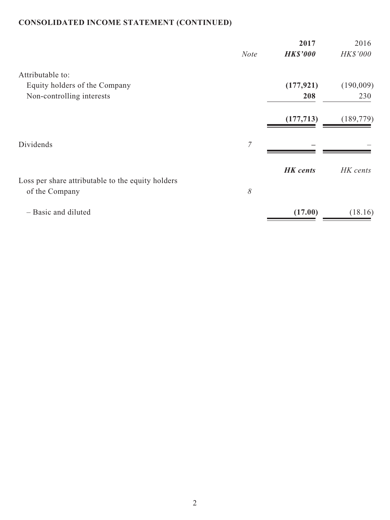# **CONSOLIDATED INCOME STATEMENT (CONTINUED)**

|                                                   | <b>Note</b> | 2017<br><b>HK\$'000</b> | 2016<br>HK\$'000 |
|---------------------------------------------------|-------------|-------------------------|------------------|
| Attributable to:                                  |             |                         |                  |
| Equity holders of the Company                     |             | (177, 921)              | (190,009)        |
|                                                   |             |                         |                  |
| Non-controlling interests                         |             | 208                     | 230              |
|                                                   |             | (177, 713)              | (189, 779)       |
|                                                   |             |                         |                  |
| Dividends                                         | 7           |                         |                  |
|                                                   |             |                         |                  |
|                                                   |             | <b>HK</b> cents         | HK cents         |
| Loss per share attributable to the equity holders |             |                         |                  |
| of the Company                                    | $\delta$    |                         |                  |
| - Basic and diluted                               |             | (17.00)                 | (18.16)          |
|                                                   |             |                         |                  |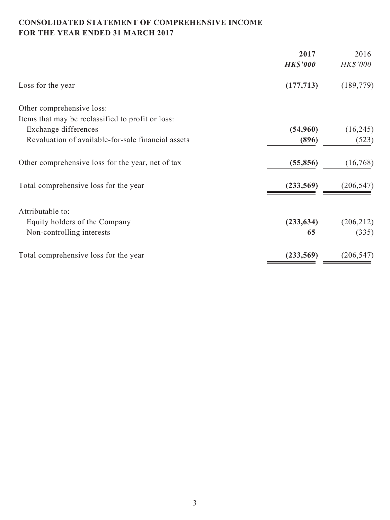# **CONSOLIDATED STATEMENT OF COMPREHENSIVE INCOME FOR THE YEAR ENDED 31 MARCH 2017**

| 2017            |            |
|-----------------|------------|
| <b>HK\$'000</b> | HK\$'000   |
| (177, 713)      | (189, 779) |
|                 |            |
|                 |            |
| (54,960)        | (16,245)   |
| (896)           | (523)      |
| (55, 856)       | (16,768)   |
| (233,569)       | (206, 547) |
|                 |            |
|                 | (206, 212) |
| 65              | (335)      |
| (233, 569)      | (206, 547) |
|                 | (233, 634) |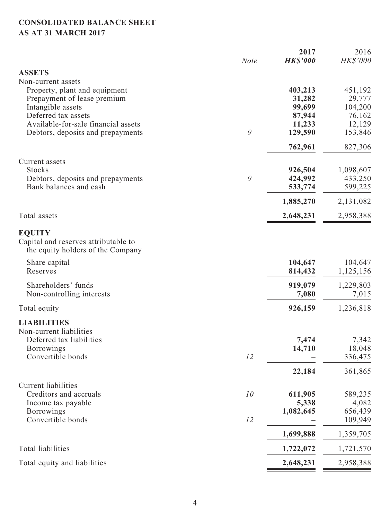# **CONSOLIDATED BALANCE SHEET AS AT 31 MARCH 2017**

| <b>ASSETS</b><br>Non-current assets<br>Property, plant and equipment<br>403,213<br>451,192<br>Prepayment of lease premium<br>31,282<br>29,777<br>99,699<br>104,200<br>Intangible assets<br>Deferred tax assets<br>87,944<br>76,162<br>Available-for-sale financial assets<br>11,233<br>9<br>129,590<br>153,846<br>Debtors, deposits and prepayments<br>762,961<br>Current assets<br><b>Stocks</b><br>926,504<br>9<br>424,992<br>Debtors, deposits and prepayments<br>Bank balances and cash<br>599,225<br>533,774<br>2,131,082<br>1,885,270<br>Total assets<br>2,648,231<br>2,958,388<br><b>EQUITY</b><br>Capital and reserves attributable to<br>the equity holders of the Company<br>104,647<br>Share capital<br>Reserves<br>814,432<br>1,125,156<br>Shareholders' funds<br>919,079<br>1,229,803<br>Non-controlling interests<br>7,080<br>7,015<br>926,159<br>1,236,818<br>Total equity<br><b>LIABILITIES</b><br>Non-current liabilities<br>7,342<br>Deferred tax liabilities<br>7,474<br>14,710<br>18,048<br><b>Borrowings</b><br>Convertible bonds<br>12<br>336,475<br>361,865<br>22,184<br><b>Current liabilities</b><br>10<br>Creditors and accruals<br>611,905<br>589,235<br>5,338<br>4,082<br>Income tax payable<br>656,439<br><b>Borrowings</b><br>1,082,645<br>Convertible bonds<br>12<br>109,949<br>1,699,888<br>1,359,705<br><b>Total liabilities</b><br>1,722,072<br>1,721,570<br>Total equity and liabilities<br>2,648,231<br>2,958,388 | <b>Note</b> | 2017<br><b>HK\$'000</b> | 2016<br>HK\$'000 |
|-------------------------------------------------------------------------------------------------------------------------------------------------------------------------------------------------------------------------------------------------------------------------------------------------------------------------------------------------------------------------------------------------------------------------------------------------------------------------------------------------------------------------------------------------------------------------------------------------------------------------------------------------------------------------------------------------------------------------------------------------------------------------------------------------------------------------------------------------------------------------------------------------------------------------------------------------------------------------------------------------------------------------------------------------------------------------------------------------------------------------------------------------------------------------------------------------------------------------------------------------------------------------------------------------------------------------------------------------------------------------------------------------------------------------------------------------------|-------------|-------------------------|------------------|
|                                                                                                                                                                                                                                                                                                                                                                                                                                                                                                                                                                                                                                                                                                                                                                                                                                                                                                                                                                                                                                                                                                                                                                                                                                                                                                                                                                                                                                                       |             |                         |                  |
|                                                                                                                                                                                                                                                                                                                                                                                                                                                                                                                                                                                                                                                                                                                                                                                                                                                                                                                                                                                                                                                                                                                                                                                                                                                                                                                                                                                                                                                       |             |                         |                  |
| 12,129<br>827,306<br>1,098,607<br>433,250<br>104,647                                                                                                                                                                                                                                                                                                                                                                                                                                                                                                                                                                                                                                                                                                                                                                                                                                                                                                                                                                                                                                                                                                                                                                                                                                                                                                                                                                                                  |             |                         |                  |
|                                                                                                                                                                                                                                                                                                                                                                                                                                                                                                                                                                                                                                                                                                                                                                                                                                                                                                                                                                                                                                                                                                                                                                                                                                                                                                                                                                                                                                                       |             |                         |                  |
|                                                                                                                                                                                                                                                                                                                                                                                                                                                                                                                                                                                                                                                                                                                                                                                                                                                                                                                                                                                                                                                                                                                                                                                                                                                                                                                                                                                                                                                       |             |                         |                  |
|                                                                                                                                                                                                                                                                                                                                                                                                                                                                                                                                                                                                                                                                                                                                                                                                                                                                                                                                                                                                                                                                                                                                                                                                                                                                                                                                                                                                                                                       |             |                         |                  |
|                                                                                                                                                                                                                                                                                                                                                                                                                                                                                                                                                                                                                                                                                                                                                                                                                                                                                                                                                                                                                                                                                                                                                                                                                                                                                                                                                                                                                                                       |             |                         |                  |
|                                                                                                                                                                                                                                                                                                                                                                                                                                                                                                                                                                                                                                                                                                                                                                                                                                                                                                                                                                                                                                                                                                                                                                                                                                                                                                                                                                                                                                                       |             |                         |                  |
|                                                                                                                                                                                                                                                                                                                                                                                                                                                                                                                                                                                                                                                                                                                                                                                                                                                                                                                                                                                                                                                                                                                                                                                                                                                                                                                                                                                                                                                       |             |                         |                  |
|                                                                                                                                                                                                                                                                                                                                                                                                                                                                                                                                                                                                                                                                                                                                                                                                                                                                                                                                                                                                                                                                                                                                                                                                                                                                                                                                                                                                                                                       |             |                         |                  |
|                                                                                                                                                                                                                                                                                                                                                                                                                                                                                                                                                                                                                                                                                                                                                                                                                                                                                                                                                                                                                                                                                                                                                                                                                                                                                                                                                                                                                                                       |             |                         |                  |
|                                                                                                                                                                                                                                                                                                                                                                                                                                                                                                                                                                                                                                                                                                                                                                                                                                                                                                                                                                                                                                                                                                                                                                                                                                                                                                                                                                                                                                                       |             |                         |                  |
|                                                                                                                                                                                                                                                                                                                                                                                                                                                                                                                                                                                                                                                                                                                                                                                                                                                                                                                                                                                                                                                                                                                                                                                                                                                                                                                                                                                                                                                       |             |                         |                  |
|                                                                                                                                                                                                                                                                                                                                                                                                                                                                                                                                                                                                                                                                                                                                                                                                                                                                                                                                                                                                                                                                                                                                                                                                                                                                                                                                                                                                                                                       |             |                         |                  |
|                                                                                                                                                                                                                                                                                                                                                                                                                                                                                                                                                                                                                                                                                                                                                                                                                                                                                                                                                                                                                                                                                                                                                                                                                                                                                                                                                                                                                                                       |             |                         |                  |
|                                                                                                                                                                                                                                                                                                                                                                                                                                                                                                                                                                                                                                                                                                                                                                                                                                                                                                                                                                                                                                                                                                                                                                                                                                                                                                                                                                                                                                                       |             |                         |                  |
|                                                                                                                                                                                                                                                                                                                                                                                                                                                                                                                                                                                                                                                                                                                                                                                                                                                                                                                                                                                                                                                                                                                                                                                                                                                                                                                                                                                                                                                       |             |                         |                  |
|                                                                                                                                                                                                                                                                                                                                                                                                                                                                                                                                                                                                                                                                                                                                                                                                                                                                                                                                                                                                                                                                                                                                                                                                                                                                                                                                                                                                                                                       |             |                         |                  |
|                                                                                                                                                                                                                                                                                                                                                                                                                                                                                                                                                                                                                                                                                                                                                                                                                                                                                                                                                                                                                                                                                                                                                                                                                                                                                                                                                                                                                                                       |             |                         |                  |
|                                                                                                                                                                                                                                                                                                                                                                                                                                                                                                                                                                                                                                                                                                                                                                                                                                                                                                                                                                                                                                                                                                                                                                                                                                                                                                                                                                                                                                                       |             |                         |                  |
|                                                                                                                                                                                                                                                                                                                                                                                                                                                                                                                                                                                                                                                                                                                                                                                                                                                                                                                                                                                                                                                                                                                                                                                                                                                                                                                                                                                                                                                       |             |                         |                  |
|                                                                                                                                                                                                                                                                                                                                                                                                                                                                                                                                                                                                                                                                                                                                                                                                                                                                                                                                                                                                                                                                                                                                                                                                                                                                                                                                                                                                                                                       |             |                         |                  |
|                                                                                                                                                                                                                                                                                                                                                                                                                                                                                                                                                                                                                                                                                                                                                                                                                                                                                                                                                                                                                                                                                                                                                                                                                                                                                                                                                                                                                                                       |             |                         |                  |
|                                                                                                                                                                                                                                                                                                                                                                                                                                                                                                                                                                                                                                                                                                                                                                                                                                                                                                                                                                                                                                                                                                                                                                                                                                                                                                                                                                                                                                                       |             |                         |                  |
|                                                                                                                                                                                                                                                                                                                                                                                                                                                                                                                                                                                                                                                                                                                                                                                                                                                                                                                                                                                                                                                                                                                                                                                                                                                                                                                                                                                                                                                       |             |                         |                  |
|                                                                                                                                                                                                                                                                                                                                                                                                                                                                                                                                                                                                                                                                                                                                                                                                                                                                                                                                                                                                                                                                                                                                                                                                                                                                                                                                                                                                                                                       |             |                         |                  |
|                                                                                                                                                                                                                                                                                                                                                                                                                                                                                                                                                                                                                                                                                                                                                                                                                                                                                                                                                                                                                                                                                                                                                                                                                                                                                                                                                                                                                                                       |             |                         |                  |
|                                                                                                                                                                                                                                                                                                                                                                                                                                                                                                                                                                                                                                                                                                                                                                                                                                                                                                                                                                                                                                                                                                                                                                                                                                                                                                                                                                                                                                                       |             |                         |                  |
|                                                                                                                                                                                                                                                                                                                                                                                                                                                                                                                                                                                                                                                                                                                                                                                                                                                                                                                                                                                                                                                                                                                                                                                                                                                                                                                                                                                                                                                       |             |                         |                  |
|                                                                                                                                                                                                                                                                                                                                                                                                                                                                                                                                                                                                                                                                                                                                                                                                                                                                                                                                                                                                                                                                                                                                                                                                                                                                                                                                                                                                                                                       |             |                         |                  |
|                                                                                                                                                                                                                                                                                                                                                                                                                                                                                                                                                                                                                                                                                                                                                                                                                                                                                                                                                                                                                                                                                                                                                                                                                                                                                                                                                                                                                                                       |             |                         |                  |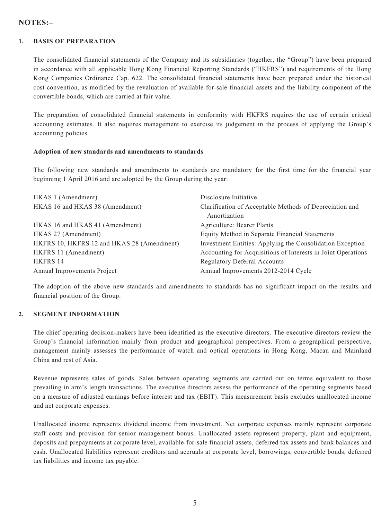### **NOTES:–**

#### **1. BASIS OF PREPARATION**

The consolidated financial statements of the Company and its subsidiaries (together, the "Group") have been prepared in accordance with all applicable Hong Kong Financial Reporting Standards ("HKFRS") and requirements of the Hong Kong Companies Ordinance Cap. 622. The consolidated financial statements have been prepared under the historical cost convention, as modified by the revaluation of available-for-sale financial assets and the liability component of the convertible bonds, which are carried at fair value.

The preparation of consolidated financial statements in conformity with HKFRS requires the use of certain critical accounting estimates. It also requires management to exercise its judgement in the process of applying the Group's accounting policies.

#### **Adoption of new standards and amendments to standards**

The following new standards and amendments to standards are mandatory for the first time for the financial year beginning 1 April 2016 and are adopted by the Group during the year:

| HKAS 1 (Amendment)                         | Disclosure Initiative                                                   |
|--------------------------------------------|-------------------------------------------------------------------------|
| HKAS 16 and HKAS 38 (Amendment)            | Clarification of Acceptable Methods of Depreciation and<br>Amortization |
|                                            |                                                                         |
| HKAS 16 and HKAS 41 (Amendment)            | Agriculture: Bearer Plants                                              |
| HKAS 27 (Amendment)                        | Equity Method in Separate Financial Statements                          |
| HKFRS 10, HKFRS 12 and HKAS 28 (Amendment) | Investment Entities: Applying the Consolidation Exception               |
| HKFRS 11 (Amendment)                       | Accounting for Acquisitions of Interests in Joint Operations            |
| <b>HKFRS 14</b>                            | <b>Regulatory Deferral Accounts</b>                                     |
| Annual Improvements Project                | Annual Improvements 2012-2014 Cycle                                     |

The adoption of the above new standards and amendments to standards has no significant impact on the results and financial position of the Group.

#### **2. SEGMENT INFORMATION**

The chief operating decision-makers have been identified as the executive directors. The executive directors review the Group's financial information mainly from product and geographical perspectives. From a geographical perspective, management mainly assesses the performance of watch and optical operations in Hong Kong, Macau and Mainland China and rest of Asia.

Revenue represents sales of goods. Sales between operating segments are carried out on terms equivalent to those prevailing in arm's length transactions. The executive directors assess the performance of the operating segments based on a measure of adjusted earnings before interest and tax (EBIT). This measurement basis excludes unallocated income and net corporate expenses.

Unallocated income represents dividend income from investment. Net corporate expenses mainly represent corporate staff costs and provision for senior management bonus. Unallocated assets represent property, plant and equipment, deposits and prepayments at corporate level, available-for-sale financial assets, deferred tax assets and bank balances and cash. Unallocated liabilities represent creditors and accruals at corporate level, borrowings, convertible bonds, deferred tax liabilities and income tax payable.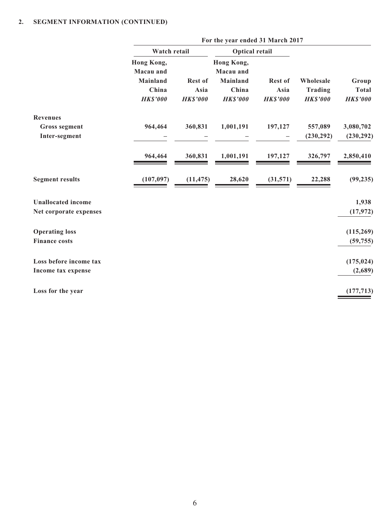|                           |                         | For the year ended 31 March 2017 |                         |                 |                 |                 |
|---------------------------|-------------------------|----------------------------------|-------------------------|-----------------|-----------------|-----------------|
|                           | Watch retail            |                                  | <b>Optical retail</b>   |                 |                 |                 |
|                           | Hong Kong,<br>Macau and |                                  | Hong Kong,<br>Macau and |                 |                 |                 |
|                           | <b>Mainland</b>         | <b>Rest of</b>                   | <b>Mainland</b>         | Rest of         | Wholesale       | Group           |
|                           | China                   | Asia                             | China                   | Asia            | Trading         | <b>Total</b>    |
|                           | <b>HK\$'000</b>         | <b>HK\$'000</b>                  | <b>HK\$'000</b>         | <b>HK\$'000</b> | <b>HK\$'000</b> | <b>HK\$'000</b> |
| <b>Revenues</b>           |                         |                                  |                         |                 |                 |                 |
| <b>Gross segment</b>      | 964,464                 | 360,831                          | 1,001,191               | 197,127         | 557,089         | 3,080,702       |
| Inter-segment             |                         |                                  |                         |                 | (230, 292)      | (230, 292)      |
|                           | 964,464                 | 360,831                          | 1,001,191               | 197,127         | 326,797         | 2,850,410       |
| <b>Segment results</b>    | (107, 097)              | (11, 475)                        | 28,620                  | (31,571)        | 22,288          | (99, 235)       |
| <b>Unallocated income</b> |                         |                                  |                         |                 |                 | 1,938           |
| Net corporate expenses    |                         |                                  |                         |                 |                 | (17, 972)       |
| <b>Operating loss</b>     |                         |                                  |                         |                 |                 | (115, 269)      |
| <b>Finance costs</b>      |                         |                                  |                         |                 |                 | (59, 755)       |
| Loss before income tax    |                         |                                  |                         |                 |                 | (175, 024)      |
| Income tax expense        |                         |                                  |                         |                 |                 | (2,689)         |
| Loss for the year         |                         |                                  |                         |                 |                 | (177, 713)      |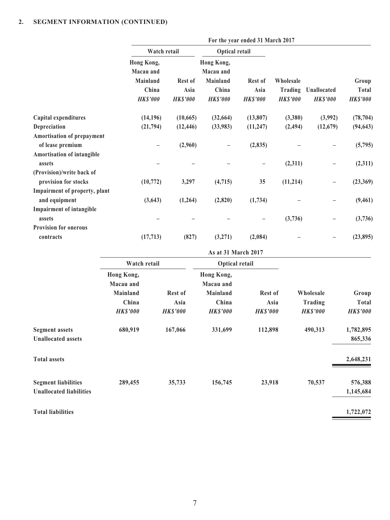|                                      |                                                                 | For the year ended 31 March 2017   |                                                                 |                                    |                                         |                                |                                   |
|--------------------------------------|-----------------------------------------------------------------|------------------------------------|-----------------------------------------------------------------|------------------------------------|-----------------------------------------|--------------------------------|-----------------------------------|
|                                      | Watch retail                                                    |                                    | <b>Optical retail</b>                                           |                                    |                                         |                                |                                   |
|                                      | Hong Kong,<br>Macau and<br>Mainland<br>China<br><b>HK\$'000</b> | Rest of<br>Asia<br><b>HK\$'000</b> | Hong Kong,<br>Macau and<br>Mainland<br>China<br><b>HK\$'000</b> | Rest of<br>Asia<br><b>HK\$'000</b> | Wholesale<br>Trading<br><b>HK\$'000</b> | Unallocated<br><b>HK\$'000</b> | Group<br>Total<br><b>HK\$'000</b> |
| Capital expenditures                 | (14, 196)                                                       | (10, 665)                          | (32, 664)                                                       | (13,807)                           | (3,380)                                 | (3,992)                        | (78, 704)                         |
| Depreciation                         | (21,794)                                                        | (12, 446)                          | (33,983)                                                        | (11, 247)                          | (2, 494)                                | (12,679)                       | (94, 643)                         |
| Amortisation of prepayment           |                                                                 |                                    |                                                                 |                                    |                                         |                                |                                   |
| of lease premium                     |                                                                 | (2,960)                            |                                                                 | (2, 835)                           |                                         |                                | (5,795)                           |
| Amortisation of intangible<br>assets |                                                                 |                                    |                                                                 |                                    | (2,311)                                 |                                | (2,311)                           |
| (Provision)/write back of            |                                                                 |                                    |                                                                 |                                    |                                         |                                |                                   |
| provision for stocks                 | (10,772)                                                        | 3,297                              | (4, 715)                                                        | 35                                 | (11,214)                                | -                              | (23, 369)                         |
| Impairment of property, plant        |                                                                 |                                    |                                                                 |                                    |                                         |                                |                                   |
| and equipment                        | (3, 643)                                                        | (1,264)                            | (2,820)                                                         | (1,734)                            |                                         |                                | (9, 461)                          |
| <b>Impairment of intangible</b>      |                                                                 |                                    |                                                                 |                                    |                                         |                                |                                   |
| assets                               |                                                                 |                                    |                                                                 |                                    | (3,736)                                 |                                | (3,736)                           |
| <b>Provision for onerous</b>         |                                                                 |                                    |                                                                 |                                    |                                         |                                |                                   |
| contracts                            | (17, 713)                                                       | (827)                              | (3,271)                                                         | (2,084)                            |                                         |                                | (23, 895)                         |
|                                      |                                                                 |                                    | As at 31 March 2017                                             |                                    |                                         |                                |                                   |
|                                      | Watch retail                                                    |                                    | <b>Optical retail</b>                                           |                                    |                                         |                                |                                   |
|                                      | Hong Kong,<br>Macau and                                         |                                    | Hong Kong,<br>Macau and                                         |                                    |                                         |                                |                                   |

| Mainland        | <b>Rest of</b>  | Mainland        | Rest of         | Wholesale      | Group           |
|-----------------|-----------------|-----------------|-----------------|----------------|-----------------|
| China           | Asia            | China           | Asia            | Trading        | <b>Total</b>    |
| <b>HK\$'000</b> | <b>HK\$'000</b> | <b>HK\$'000</b> | <b>HK\$'000</b> | <b>HKS'000</b> | <b>HK\$'000</b> |
| 680,919         | 167,066         | 331,699         | 112,898         | 490,313        | 1,782,895       |
|                 |                 |                 |                 |                | 865,336         |
|                 |                 |                 |                 |                | 2,648,231       |
| 289,455         | 35,733          | 156,745         | 23,918          | 70,537         | 576,388         |
|                 |                 |                 |                 |                | 1,145,684       |
|                 |                 |                 |                 |                | 1,722,072       |
|                 | Macau anu       |                 | Macau anu       |                |                 |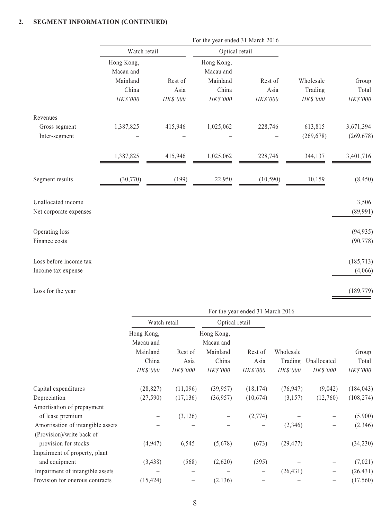|                                              |                         |          | For the year ended 31 March 2016 |           |            |                        |
|----------------------------------------------|-------------------------|----------|----------------------------------|-----------|------------|------------------------|
|                                              | Watch retail            |          | Optical retail                   |           |            |                        |
|                                              | Hong Kong,<br>Macau and |          | Hong Kong,<br>Macau and          |           |            |                        |
|                                              | Mainland                | Rest of  | Mainland                         | Rest of   | Wholesale  | Group                  |
|                                              | China                   | Asia     | China                            | Asia      | Trading    | Total                  |
|                                              | HK\$'000                | HK\$'000 | HK\$'000                         | HK\$'000  | HK\$'000   | HK\$'000               |
| Revenues                                     |                         |          |                                  |           |            |                        |
| Gross segment                                | 1,387,825               | 415,946  | 1,025,062                        | 228,746   | 613,815    | 3,671,394              |
| Inter-segment                                |                         |          |                                  |           | (269, 678) | (269, 678)             |
|                                              | 1,387,825               | 415,946  | 1,025,062                        | 228,746   | 344,137    | 3,401,716              |
| Segment results                              | (30,770)                | (199)    | 22,950                           | (10, 590) | 10,159     | (8, 450)               |
| Unallocated income<br>Net corporate expenses |                         |          |                                  |           |            | 3,506<br>(89,991)      |
| Operating loss<br>Finance costs              |                         |          |                                  |           |            | (94, 935)<br>(90, 778) |
| Loss before income tax<br>Income tax expense |                         |          |                                  |           |            | (185, 713)<br>(4,066)  |
| Loss for the year                            |                         |          |                                  |           |            | (189, 779)             |

| Loss for the year |  |  |  |
|-------------------|--|--|--|
|-------------------|--|--|--|

|                                   | For the year ended 31 March 2016    |                   |                                     |                          |                            |                                |                          |
|-----------------------------------|-------------------------------------|-------------------|-------------------------------------|--------------------------|----------------------------|--------------------------------|--------------------------|
|                                   | Watch retail                        |                   | Optical retail                      |                          |                            |                                |                          |
|                                   | Hong Kong,<br>Macau and<br>Mainland | Rest of           | Hong Kong,<br>Macau and<br>Mainland | Rest of                  | Wholesale                  |                                | Group                    |
|                                   | China<br>HK\$'000                   | Asia<br>HK\$'000  | China<br><i>HK\$'000</i>            | Asia<br><i>HK\$'000</i>  | Trading<br><b>HK\$'000</b> | Unallocated<br><b>HK\$'000</b> | Total<br><i>HK\$'000</i> |
| Capital expenditures              | (28, 827)                           | (11,096)          | (39, 957)                           | (18, 174)                | (76, 947)                  | (9,042)                        | (184, 043)               |
| Depreciation                      | (27, 590)                           | (17, 136)         | (36,957)                            | (10,674)                 | (3,157)                    | (12,760)                       | (108, 274)               |
| Amortisation of prepayment        |                                     |                   |                                     |                          |                            |                                |                          |
| of lease premium                  |                                     | (3, 126)          |                                     | (2,774)                  |                            |                                | (5,900)                  |
| Amortisation of intangible assets |                                     |                   |                                     |                          | (2,346)                    |                                | (2,346)                  |
| (Provision)/write back of         |                                     |                   |                                     |                          |                            |                                |                          |
| provision for stocks              | (4,947)                             | 6,545             | (5,678)                             | (673)                    | (29, 477)                  |                                | (34,230)                 |
| Impairment of property, plant     |                                     |                   |                                     |                          |                            |                                |                          |
| and equipment                     | (3, 438)                            | (568)             | (2,620)                             | (395)                    |                            | —                              | (7,021)                  |
| Impairment of intangible assets   |                                     | $\hspace{0.05cm}$ |                                     | $\overline{\phantom{m}}$ | (26, 431)                  | $\overline{\phantom{m}}$       | (26, 431)                |
| Provision for onerous contracts   | (15, 424)                           |                   | (2, 136)                            |                          |                            |                                | (17, 560)                |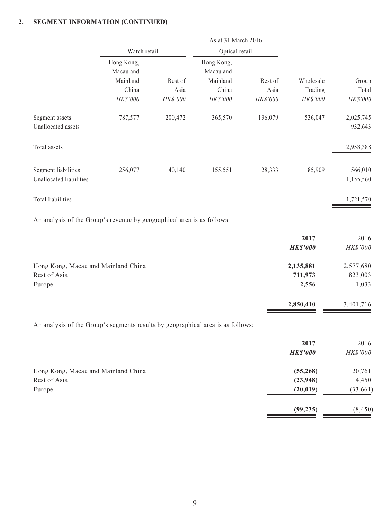|                                                                                 | As at 31 March 2016     |          |                         |              |                 |              |  |
|---------------------------------------------------------------------------------|-------------------------|----------|-------------------------|--------------|-----------------|--------------|--|
|                                                                                 | Watch retail            |          | Optical retail          |              |                 |              |  |
|                                                                                 | Hong Kong,<br>Macau and |          | Hong Kong,<br>Macau and |              |                 |              |  |
|                                                                                 | Mainland                | Rest of  | Mainland                | Rest of      | Wholesale       | Group        |  |
|                                                                                 | China                   | Asia     | China                   | Asia         | Trading         | Total        |  |
|                                                                                 | HK\$'000                | HK\$'000 | HK\$'000                | $H K\$$ '000 | HK\$'000        | $H K\$$ '000 |  |
| Segment assets                                                                  | 787,577                 | 200,472  | 365,570                 | 136,079      | 536,047         | 2,025,745    |  |
| Unallocated assets                                                              |                         |          |                         |              |                 | 932,643      |  |
| Total assets                                                                    |                         |          |                         |              |                 | 2,958,388    |  |
| Segment liabilities                                                             | 256,077                 | 40,140   | 155,551                 | 28,333       | 85,909          | 566,010      |  |
| Unallocated liabilities                                                         |                         |          |                         |              |                 | 1,155,560    |  |
| Total liabilities                                                               |                         |          |                         |              |                 | 1,721,570    |  |
| An analysis of the Group's revenue by geographical area is as follows:          |                         |          |                         |              |                 |              |  |
|                                                                                 |                         |          |                         |              | 2017            | 2016         |  |
|                                                                                 |                         |          |                         |              | <b>HK\$'000</b> | HK\$'000     |  |
| Hong Kong, Macau and Mainland China                                             |                         |          |                         |              | 2,135,881       | 2,577,680    |  |
| Rest of Asia                                                                    |                         |          |                         |              | 711,973         | 823,003      |  |
| Europe                                                                          |                         |          |                         |              | 2,556           | 1,033        |  |
|                                                                                 |                         |          |                         |              | 2,850,410       | 3,401,716    |  |
| An analysis of the Group's segments results by geographical area is as follows: |                         |          |                         |              |                 |              |  |
|                                                                                 |                         |          |                         |              | 2017            | 2016         |  |
|                                                                                 |                         |          |                         |              | <b>HK\$'000</b> | HK\$'000     |  |
| Hong Kong, Macau and Mainland China                                             |                         |          |                         |              | (55, 268)       | 20,761       |  |
| Rest of Asia                                                                    |                         |          |                         |              | (23, 948)       | 4,450        |  |
| Europe                                                                          |                         |          |                         |              | (20, 019)       | (33, 661)    |  |

**(99,235)** (8,450)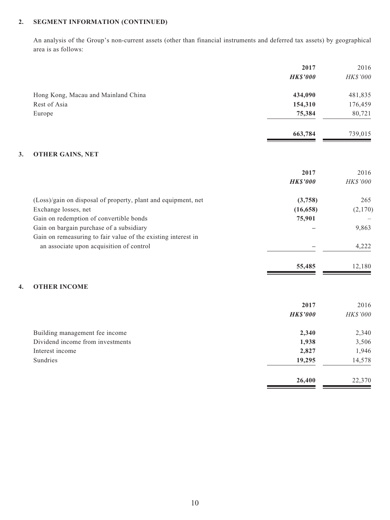An analysis of the Group's non-current assets (other than financial instruments and deferred tax assets) by geographical area is as follows:

|                                                               | 2017            | 2016     |
|---------------------------------------------------------------|-----------------|----------|
|                                                               | <b>HK\$'000</b> | HK\$'000 |
| Hong Kong, Macau and Mainland China                           | 434,090         | 481,835  |
| Rest of Asia                                                  | 154,310         | 176,459  |
| Europe                                                        | 75,384          | 80,721   |
|                                                               | 663,784         | 739,015  |
| 3.<br><b>OTHER GAINS, NET</b>                                 |                 |          |
|                                                               | 2017            | 2016     |
|                                                               | <b>HK\$'000</b> | HK\$'000 |
| (Loss)/gain on disposal of property, plant and equipment, net | (3,758)         | 265      |
| Exchange losses, net                                          | (16, 658)       | (2,170)  |
| Gain on redemption of convertible bonds                       | 75,901          |          |
| Gain on bargain purchase of a subsidiary                      |                 | 9,863    |
| Gain on remeasuring to fair value of the existing interest in |                 |          |
| an associate upon acquisition of control                      |                 | 4,222    |
|                                                               | 55,485          | 12,180   |
| <b>OTHER INCOME</b><br>4.                                     |                 |          |
|                                                               | 2017            | 2016     |
|                                                               | <b>HK\$'000</b> | HK\$'000 |
| Building management fee income                                | 2,340           | 2,340    |
| Dividend income from investments                              | 1,938           | 3,506    |
| Interest income                                               | 2,827           | 1,946    |
| Sundries                                                      | 19,295          | 14,578   |
|                                                               | 26,400          | 22,370   |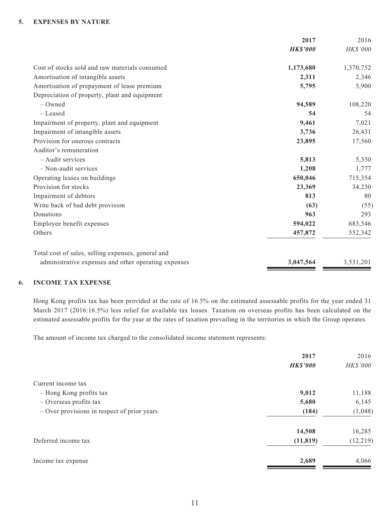### **5. EXPENSES BY NATURE**

|                                                      | 2017            | 2016      |
|------------------------------------------------------|-----------------|-----------|
|                                                      | <b>HK\$'000</b> | HK\$'000  |
| Cost of stocks sold and raw materials consumed       | 1,173,680       | 1,370,752 |
| Amortisation of intangible assets                    | 2,311           | 2,346     |
| Amortisation of prepayment of lease premium          | 5,795           | 5,900     |
| Depreciation of property, plant and equipment        |                 |           |
| $-$ Owned                                            | 94,589          | 108,220   |
| - Leased                                             | 54              | 54        |
| Impairment of property, plant and equipment          | 9,461           | 7,021     |
| Impairment of intangible assets                      | 3,736           | 26,431    |
| Provision for onerous contracts                      | 23,895          | 17,560    |
| Auditor's remuneration                               |                 |           |
| - Audit services                                     | 5,813           | 5,350     |
| $-$ Non-audit services                               | 1,208           | 1,777     |
| Operating leases on buildings                        | 650,046         | 715,354   |
| Provision for stocks                                 | 23,369          | 34,230    |
| Impairment of debtors                                | 813             | 80        |
| Write back of bad debt provision                     | (63)            | (55)      |
| Donations                                            | 963             | 293       |
| Employee benefit expenses                            | 594,022         | 683,546   |
| Others                                               | 457,872         | 552,342   |
| Total cost of sales, selling expenses, general and   |                 |           |
| administrative expenses and other operating expenses | 3,047,564       | 3,531,201 |

#### **6. INCOME TAX EXPENSE**

Hong Kong profits tax has been provided at the rate of 16.5% on the estimated assessable profits for the year ended 31 March 2017 (2016:16.5%) less relief for available tax losses. Taxation on overseas profits has been calculated on the estimated assessable profits for the year at the rates of taxation prevailing in the territories in which the Group operates.

The amount of income tax charged to the consolidated income statement represents:

|                                             | 2017            | 2016      |
|---------------------------------------------|-----------------|-----------|
|                                             | <b>HK\$'000</b> | HK\$'000  |
| Current income tax                          |                 |           |
| - Hong Kong profits tax                     | 9,012           | 11,188    |
| - Overseas profits tax                      | 5,680           | 6,145     |
| - Over provisions in respect of prior years | (184)           | (1,048)   |
|                                             | 14,508          | 16,285    |
| Deferred income tax                         | (11, 819)       | (12, 219) |
| Income tax expense                          | 2,689           | 4,066     |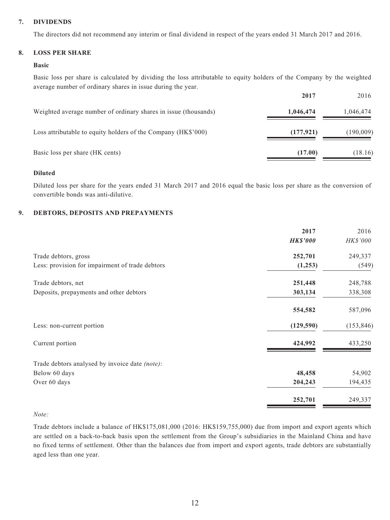### **7. DIVIDENDS**

The directors did not recommend any interim or final dividend in respect of the years ended 31 March 2017 and 2016.

#### **8. LOSS PER SHARE**

#### **Basic**

Basic loss per share is calculated by dividing the loss attributable to equity holders of the Company by the weighted average number of ordinary shares in issue during the year.

|                                                                 | 2017       | 2016      |
|-----------------------------------------------------------------|------------|-----------|
| Weighted average number of ordinary shares in issue (thousands) | 1,046,474  | 1,046,474 |
| Loss attributable to equity holders of the Company (HK\$'000)   | (177, 921) | (190,009) |
| Basic loss per share (HK cents)                                 | (17.00)    | (18.16)   |

#### **Diluted**

Diluted loss per share for the years ended 31 March 2017 and 2016 equal the basic loss per share as the conversion of convertible bonds was anti-dilutive.

#### **9. DEBTORS, DEPOSITS AND PREPAYMENTS**

|                                                 | 2017            | 2016       |
|-------------------------------------------------|-----------------|------------|
|                                                 | <b>HK\$'000</b> | HK\$'000   |
| Trade debtors, gross                            | 252,701         | 249,337    |
| Less: provision for impairment of trade debtors | (1,253)         | (549)      |
| Trade debtors, net                              | 251,448         | 248,788    |
| Deposits, prepayments and other debtors         | 303,134         | 338,308    |
|                                                 | 554,582         | 587,096    |
| Less: non-current portion                       | (129, 590)      | (153, 846) |
| Current portion                                 | 424,992         | 433,250    |
| Trade debtors analysed by invoice date (note):  |                 |            |
| Below 60 days                                   | 48,458          | 54,902     |
| Over 60 days                                    | 204,243         | 194,435    |
|                                                 | 252,701         | 249,337    |

#### *Note:*

Trade debtors include a balance of HK\$175,081,000 (2016: HK\$159,755,000) due from import and export agents which are settled on a back-to-back basis upon the settlement from the Group's subsidiaries in the Mainland China and have no fixed terms of settlement. Other than the balances due from import and export agents, trade debtors are substantially aged less than one year.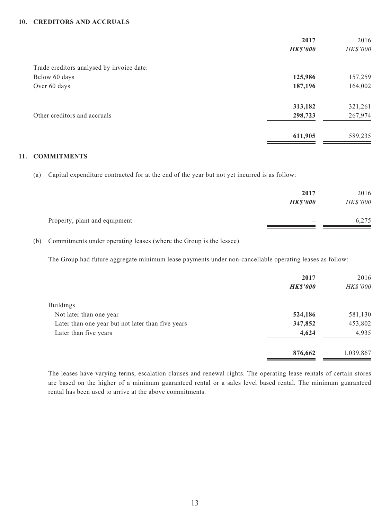#### **10. CREDITORS AND ACCRUALS**

|                                           | 2017            | 2016     |
|-------------------------------------------|-----------------|----------|
|                                           | <b>HK\$'000</b> | HK\$'000 |
| Trade creditors analysed by invoice date: |                 |          |
| Below 60 days                             | 125,986         | 157,259  |
| Over 60 days                              | 187,196         | 164,002  |
|                                           | 313,182         | 321,261  |
| Other creditors and accruals              | 298,723         | 267,974  |
|                                           | 611,905         | 589,235  |
|                                           |                 |          |

### **11. COMMITMENTS**

(a) Capital expenditure contracted for at the end of the year but not yet incurred is as follow:

|                               | 2017<br><b>HK\$'000</b> | 2016<br><b>HK\$'000</b> |
|-------------------------------|-------------------------|-------------------------|
| Property, plant and equipment |                         | 6,275                   |

(b) Commitments under operating leases (where the Group is the lessee)

The Group had future aggregate minimum lease payments under non-cancellable operating leases as follow:

|                                                   | 2017            | 2016      |
|---------------------------------------------------|-----------------|-----------|
|                                                   | <b>HK\$'000</b> | HK\$'000  |
| <b>Buildings</b>                                  |                 |           |
| Not later than one year                           | 524,186         | 581,130   |
| Later than one year but not later than five years | 347,852         | 453,802   |
| Later than five years                             | 4,624           | 4,935     |
|                                                   | 876,662         | 1,039,867 |

The leases have varying terms, escalation clauses and renewal rights. The operating lease rentals of certain stores are based on the higher of a minimum guaranteed rental or a sales level based rental. The minimum guaranteed rental has been used to arrive at the above commitments.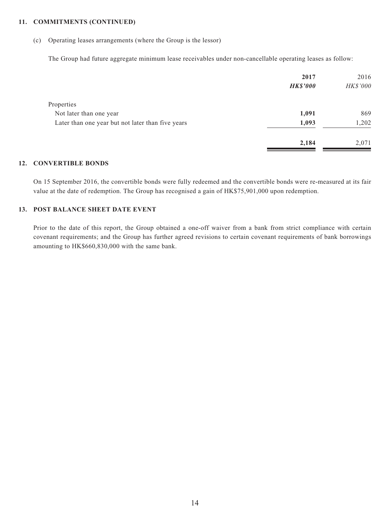#### **11. COMMITMENTS (continued)**

(c) Operating leases arrangements (where the Group is the lessor)

The Group had future aggregate minimum lease receivables under non-cancellable operating leases as follow:

|                                                   | 2017<br><b>HK\$'000</b> | 2016<br>HK\$'000 |
|---------------------------------------------------|-------------------------|------------------|
| Properties                                        |                         |                  |
| Not later than one year                           | 1,091                   | 869              |
| Later than one year but not later than five years | 1,093                   | 1,202            |
|                                                   | 2,184                   | 2,071            |

#### **12. CONVERTIBLE BONDS**

On 15 September 2016, the convertible bonds were fully redeemed and the convertible bonds were re-measured at its fair value at the date of redemption. The Group has recognised a gain of HK\$75,901,000 upon redemption.

#### **13. POST BALANCE SHEET DATE EVENT**

Prior to the date of this report, the Group obtained a one-off waiver from a bank from strict compliance with certain covenant requirements; and the Group has further agreed revisions to certain covenant requirements of bank borrowings amounting to HK\$660,830,000 with the same bank.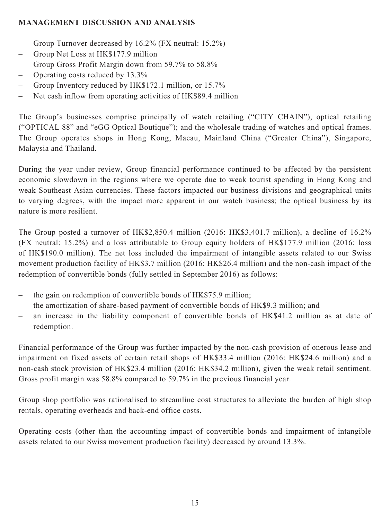## **MANAGEMENT DISCUSSION AND ANALYSIS**

- Group Turnover decreased by 16.2% (FX neutral: 15.2%)
- Group Net Loss at HK\$177.9 million
- Group Gross Profit Margin down from 59.7% to 58.8%
- Operating costs reduced by 13.3%
- Group Inventory reduced by HK\$172.1 million, or 15.7%
- Net cash inflow from operating activities of HK\$89.4 million

The Group's businesses comprise principally of watch retailing ("CITY CHAIN"), optical retailing ("OPTICAL 88" and "eGG Optical Boutique"); and the wholesale trading of watches and optical frames. The Group operates shops in Hong Kong, Macau, Mainland China ("Greater China"), Singapore, Malaysia and Thailand.

During the year under review, Group financial performance continued to be affected by the persistent economic slowdown in the regions where we operate due to weak tourist spending in Hong Kong and weak Southeast Asian currencies. These factors impacted our business divisions and geographical units to varying degrees, with the impact more apparent in our watch business; the optical business by its nature is more resilient.

The Group posted a turnover of HK\$2,850.4 million (2016: HK\$3,401.7 million), a decline of 16.2% (FX neutral: 15.2%) and a loss attributable to Group equity holders of HK\$177.9 million (2016: loss of HK\$190.0 million). The net loss included the impairment of intangible assets related to our Swiss movement production facility of HK\$3.7 million (2016: HK\$26.4 million) and the non-cash impact of the redemption of convertible bonds (fully settled in September 2016) as follows:

- the gain on redemption of convertible bonds of HK\$75.9 million;
- the amortization of share-based payment of convertible bonds of HK\$9.3 million; and
- an increase in the liability component of convertible bonds of HK\$41.2 million as at date of redemption.

Financial performance of the Group was further impacted by the non-cash provision of onerous lease and impairment on fixed assets of certain retail shops of HK\$33.4 million (2016: HK\$24.6 million) and a non-cash stock provision of HK\$23.4 million (2016: HK\$34.2 million), given the weak retail sentiment. Gross profit margin was 58.8% compared to 59.7% in the previous financial year.

Group shop portfolio was rationalised to streamline cost structures to alleviate the burden of high shop rentals, operating overheads and back-end office costs.

Operating costs (other than the accounting impact of convertible bonds and impairment of intangible assets related to our Swiss movement production facility) decreased by around 13.3%.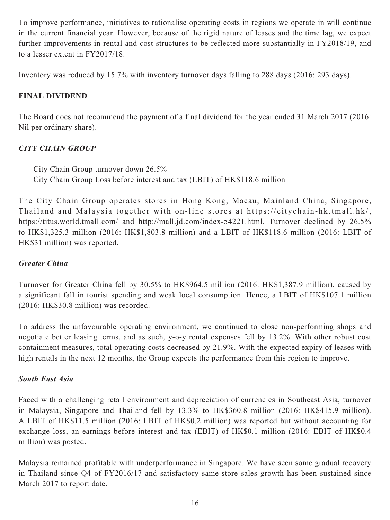To improve performance, initiatives to rationalise operating costs in regions we operate in will continue in the current financial year. However, because of the rigid nature of leases and the time lag, we expect further improvements in rental and cost structures to be reflected more substantially in FY2018/19, and to a lesser extent in FY2017/18.

Inventory was reduced by 15.7% with inventory turnover days falling to 288 days (2016: 293 days).

# **FINAL DIVIDEND**

The Board does not recommend the payment of a final dividend for the year ended 31 March 2017 (2016: Nil per ordinary share).

# *CITY CHAIN GROUP*

- City Chain Group turnover down 26.5%
- City Chain Group Loss before interest and tax (LBIT) of HK\$118.6 million

The City Chain Group operates stores in Hong Kong, Macau, Mainland China, Singapore, Thailand and Malaysia together with on-line stores at [https://citychain-hk.tmall.hk](https://citychain-hk.tmall.hk/) /, <https://titus.world.tmall.com/> and <http://mall.jd.com/index-54221.html>. Turnover declined by 26.5% to HK\$1,325.3 million (2016: HK\$1,803.8 million) and a LBIT of HK\$118.6 million (2016: LBIT of HK\$31 million) was reported.

## *Greater China*

Turnover for Greater China fell by 30.5% to HK\$964.5 million (2016: HK\$1,387.9 million), caused by a significant fall in tourist spending and weak local consumption. Hence, a LBIT of HK\$107.1 million (2016: HK\$30.8 million) was recorded.

To address the unfavourable operating environment, we continued to close non-performing shops and negotiate better leasing terms, and as such, y-o-y rental expenses fell by 13.2%. With other robust cost containment measures, total operating costs decreased by 21.9%. With the expected expiry of leases with high rentals in the next 12 months, the Group expects the performance from this region to improve.

# *South East Asia*

Faced with a challenging retail environment and depreciation of currencies in Southeast Asia, turnover in Malaysia, Singapore and Thailand fell by 13.3% to HK\$360.8 million (2016: HK\$415.9 million). A LBIT of HK\$11.5 million (2016: LBIT of HK\$0.2 million) was reported but without accounting for exchange loss, an earnings before interest and tax (EBIT) of HK\$0.1 million (2016: EBIT of HK\$0.4 million) was posted.

Malaysia remained profitable with underperformance in Singapore. We have seen some gradual recovery in Thailand since Q4 of FY2016/17 and satisfactory same-store sales growth has been sustained since March 2017 to report date.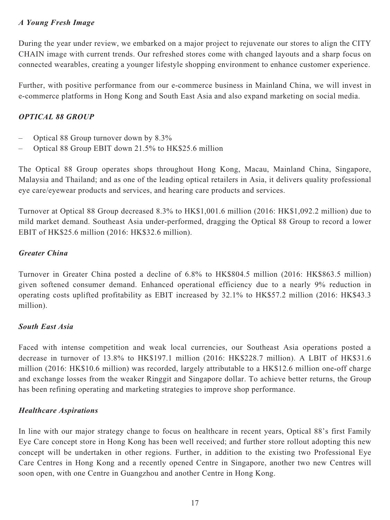## *A Young Fresh Image*

During the year under review, we embarked on a major project to rejuvenate our stores to align the CITY CHAIN image with current trends. Our refreshed stores come with changed layouts and a sharp focus on connected wearables, creating a younger lifestyle shopping environment to enhance customer experience.

Further, with positive performance from our e-commerce business in Mainland China, we will invest in e-commerce platforms in Hong Kong and South East Asia and also expand marketing on social media.

## *OPTICAL 88 GROUP*

- Optical 88 Group turnover down by 8.3%
- Optical 88 Group EBIT down 21.5% to HK\$25.6 million

The Optical 88 Group operates shops throughout Hong Kong, Macau, Mainland China, Singapore, Malaysia and Thailand; and as one of the leading optical retailers in Asia, it delivers quality professional eye care/eyewear products and services, and hearing care products and services.

Turnover at Optical 88 Group decreased 8.3% to HK\$1,001.6 million (2016: HK\$1,092.2 million) due to mild market demand. Southeast Asia under-performed, dragging the Optical 88 Group to record a lower EBIT of HK\$25.6 million (2016: HK\$32.6 million).

### *Greater China*

Turnover in Greater China posted a decline of 6.8% to HK\$804.5 million (2016: HK\$863.5 million) given softened consumer demand. Enhanced operational efficiency due to a nearly 9% reduction in operating costs uplifted profitability as EBIT increased by 32.1% to HK\$57.2 million (2016: HK\$43.3 million).

### *South East Asia*

Faced with intense competition and weak local currencies, our Southeast Asia operations posted a decrease in turnover of 13.8% to HK\$197.1 million (2016: HK\$228.7 million). A LBIT of HK\$31.6 million (2016: HK\$10.6 million) was recorded, largely attributable to a HK\$12.6 million one-off charge and exchange losses from the weaker Ringgit and Singapore dollar. To achieve better returns, the Group has been refining operating and marketing strategies to improve shop performance.

### *Healthcare Aspirations*

In line with our major strategy change to focus on healthcare in recent years, Optical 88's first Family Eye Care concept store in Hong Kong has been well received; and further store rollout adopting this new concept will be undertaken in other regions. Further, in addition to the existing two Professional Eye Care Centres in Hong Kong and a recently opened Centre in Singapore, another two new Centres will soon open, with one Centre in Guangzhou and another Centre in Hong Kong.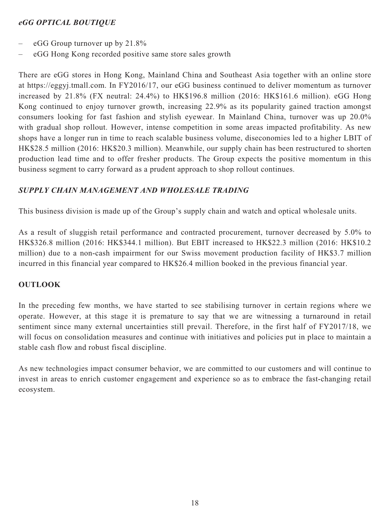## *eGG OPTICAL BOUTIQUE*

- eGG Group turnover up by 21.8%
- eGG Hong Kong recorded positive same store sales growth

There are eGG stores in Hong Kong, Mainland China and Southeast Asia together with an online store at [https://eggyj.tmall.com.](https://eggyj.tmall.com) In FY2016/17, our eGG business continued to deliver momentum as turnover increased by 21.8% (FX neutral: 24.4%) to HK\$196.8 million (2016: HK\$161.6 million). eGG Hong Kong continued to enjoy turnover growth, increasing 22.9% as its popularity gained traction amongst consumers looking for fast fashion and stylish eyewear. In Mainland China, turnover was up 20.0% with gradual shop rollout. However, intense competition in some areas impacted profitability. As new shops have a longer run in time to reach scalable business volume, diseconomies led to a higher LBIT of HK\$28.5 million (2016: HK\$20.3 million). Meanwhile, our supply chain has been restructured to shorten production lead time and to offer fresher products. The Group expects the positive momentum in this business segment to carry forward as a prudent approach to shop rollout continues.

## *SUPPLY CHAIN MANAGEMENT AND WHOLESALE TRADING*

This business division is made up of the Group's supply chain and watch and optical wholesale units.

As a result of sluggish retail performance and contracted procurement, turnover decreased by 5.0% to HK\$326.8 million (2016: HK\$344.1 million). But EBIT increased to HK\$22.3 million (2016: HK\$10.2 million) due to a non-cash impairment for our Swiss movement production facility of HK\$3.7 million incurred in this financial year compared to HK\$26.4 million booked in the previous financial year.

### **OUTLOOK**

In the preceding few months, we have started to see stabilising turnover in certain regions where we operate. However, at this stage it is premature to say that we are witnessing a turnaround in retail sentiment since many external uncertainties still prevail. Therefore, in the first half of FY2017/18, we will focus on consolidation measures and continue with initiatives and policies put in place to maintain a stable cash flow and robust fiscal discipline.

As new technologies impact consumer behavior, we are committed to our customers and will continue to invest in areas to enrich customer engagement and experience so as to embrace the fast-changing retail ecosystem.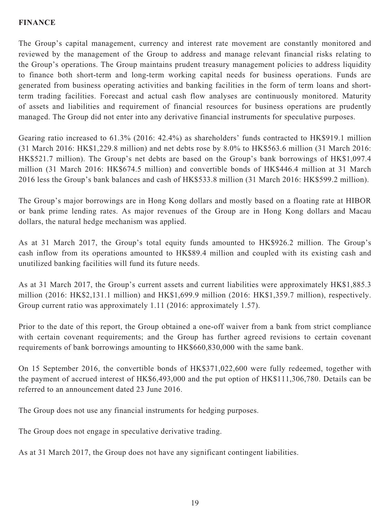## **FINANCE**

The Group's capital management, currency and interest rate movement are constantly monitored and reviewed by the management of the Group to address and manage relevant financial risks relating to the Group's operations. The Group maintains prudent treasury management policies to address liquidity to finance both short-term and long-term working capital needs for business operations. Funds are generated from business operating activities and banking facilities in the form of term loans and shortterm trading facilities. Forecast and actual cash flow analyses are continuously monitored. Maturity of assets and liabilities and requirement of financial resources for business operations are prudently managed. The Group did not enter into any derivative financial instruments for speculative purposes.

Gearing ratio increased to 61.3% (2016: 42.4%) as shareholders' funds contracted to HK\$919.1 million (31 March 2016: HK\$1,229.8 million) and net debts rose by 8.0% to HK\$563.6 million (31 March 2016: HK\$521.7 million). The Group's net debts are based on the Group's bank borrowings of HK\$1,097.4 million (31 March 2016: HK\$674.5 million) and convertible bonds of HK\$446.4 million at 31 March 2016 less the Group's bank balances and cash of HK\$533.8 million (31 March 2016: HK\$599.2 million).

The Group's major borrowings are in Hong Kong dollars and mostly based on a floating rate at HIBOR or bank prime lending rates. As major revenues of the Group are in Hong Kong dollars and Macau dollars, the natural hedge mechanism was applied.

As at 31 March 2017, the Group's total equity funds amounted to HK\$926.2 million. The Group's cash inflow from its operations amounted to HK\$89.4 million and coupled with its existing cash and unutilized banking facilities will fund its future needs.

As at 31 March 2017, the Group's current assets and current liabilities were approximately HK\$1,885.3 million (2016: HK\$2,131.1 million) and HK\$1,699.9 million (2016: HK\$1,359.7 million), respectively. Group current ratio was approximately 1.11 (2016: approximately 1.57).

Prior to the date of this report, the Group obtained a one-off waiver from a bank from strict compliance with certain covenant requirements; and the Group has further agreed revisions to certain covenant requirements of bank borrowings amounting to HK\$660,830,000 with the same bank.

On 15 September 2016, the convertible bonds of HK\$371,022,600 were fully redeemed, together with the payment of accrued interest of HK\$6,493,000 and the put option of HK\$111,306,780. Details can be referred to an announcement dated 23 June 2016.

The Group does not use any financial instruments for hedging purposes.

The Group does not engage in speculative derivative trading.

As at 31 March 2017, the Group does not have any significant contingent liabilities.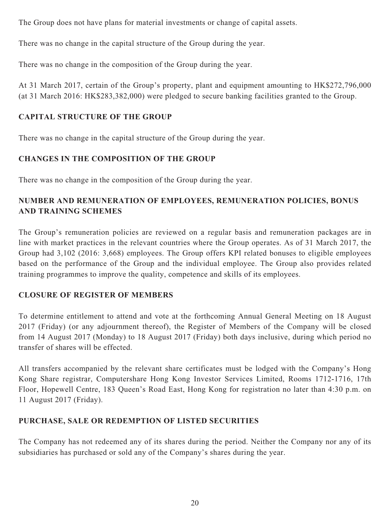The Group does not have plans for material investments or change of capital assets.

There was no change in the capital structure of the Group during the year.

There was no change in the composition of the Group during the year.

At 31 March 2017, certain of the Group's property, plant and equipment amounting to HK\$272,796,000 (at 31 March 2016: HK\$283,382,000) were pledged to secure banking facilities granted to the Group.

# **CAPITAL STRUCTURE OF THE GROUP**

There was no change in the capital structure of the Group during the year.

# **CHANGES IN THE COMPOSITION OF THE GROUP**

There was no change in the composition of the Group during the year.

# **NUMBER AND REMUNERATION OF EMPLOYEES, REMUNERATION POLICIES, BONUS AND TRAINING SCHEMES**

The Group's remuneration policies are reviewed on a regular basis and remuneration packages are in line with market practices in the relevant countries where the Group operates. As of 31 March 2017, the Group had 3,102 (2016: 3,668) employees. The Group offers KPI related bonuses to eligible employees based on the performance of the Group and the individual employee. The Group also provides related training programmes to improve the quality, competence and skills of its employees.

# **CLOSURE OF REGISTER OF MEMBERS**

To determine entitlement to attend and vote at the forthcoming Annual General Meeting on 18 August 2017 (Friday) (or any adjournment thereof), the Register of Members of the Company will be closed from 14 August 2017 (Monday) to 18 August 2017 (Friday) both days inclusive, during which period no transfer of shares will be effected.

All transfers accompanied by the relevant share certificates must be lodged with the Company's Hong Kong Share registrar, Computershare Hong Kong Investor Services Limited, Rooms 1712-1716, 17th Floor, Hopewell Centre, 183 Queen's Road East, Hong Kong for registration no later than 4:30 p.m. on 11 August 2017 (Friday).

# **PURCHASE, SALE OR REDEMPTION OF LISTED SECURITIES**

The Company has not redeemed any of its shares during the period. Neither the Company nor any of its subsidiaries has purchased or sold any of the Company's shares during the year.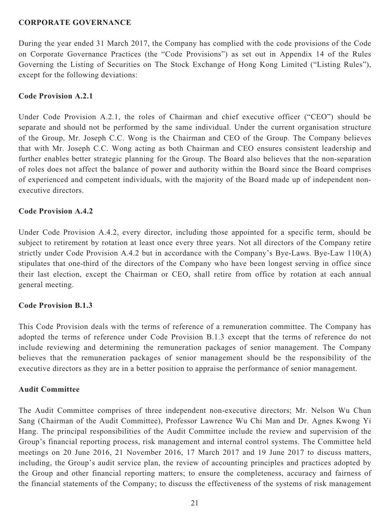### **CORPORATE GOVERNANCE**

During the year ended 31 March 2017, the Company has complied with the code provisions of the Code on Corporate Governance Practices (the "Code Provisions") as set out in Appendix 14 of the Rules Governing the Listing of Securities on The Stock Exchange of Hong Kong Limited ("Listing Rules"), except for the following deviations:

### **Code Provision A.2.1**

Under Code Provision A.2.1, the roles of Chairman and chief executive officer ("CEO") should be separate and should not be performed by the same individual. Under the current organisation structure of the Group, Mr. Joseph C.C. Wong is the Chairman and CEO of the Group. The Company believes that with Mr. Joseph C.C. Wong acting as both Chairman and CEO ensures consistent leadership and further enables better strategic planning for the Group. The Board also believes that the non-separation of roles does not affect the balance of power and authority within the Board since the Board comprises of experienced and competent individuals, with the majority of the Board made up of independent nonexecutive directors.

### **Code Provision A.4.2**

Under Code Provision A.4.2, every director, including those appointed for a specific term, should be subject to retirement by rotation at least once every three years. Not all directors of the Company retire strictly under Code Provision A.4.2 but in accordance with the Company's Bye-Laws. Bye-Law 110(A) stipulates that one-third of the directors of the Company who have been longest serving in office since their last election, except the Chairman or CEO, shall retire from office by rotation at each annual general meeting.

### **Code Provision B.1.3**

This Code Provision deals with the terms of reference of a remuneration committee. The Company has adopted the terms of reference under Code Provision B.1.3 except that the terms of reference do not include reviewing and determining the remuneration packages of senior management. The Company believes that the remuneration packages of senior management should be the responsibility of the executive directors as they are in a better position to appraise the performance of senior management.

### **Audit Committee**

The Audit Committee comprises of three independent non-executive directors; Mr. Nelson Wu Chun Sang (Chairman of the Audit Committee), Professor Lawrence Wu Chi Man and Dr. Agnes Kwong Yi Hang. The principal responsibilities of the Audit Committee include the review and supervision of the Group's financial reporting process, risk management and internal control systems. The Committee held meetings on 20 June 2016, 21 November 2016, 17 March 2017 and 19 June 2017 to discuss matters, including, the Group's audit service plan, the review of accounting principles and practices adopted by the Group and other financial reporting matters; to ensure the completeness, accuracy and fairness of the financial statements of the Company; to discuss the effectiveness of the systems of risk management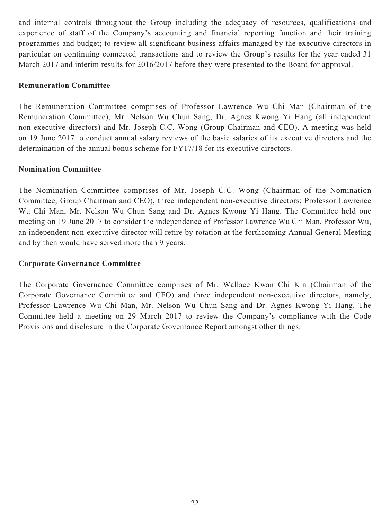and internal controls throughout the Group including the adequacy of resources, qualifications and experience of staff of the Company's accounting and financial reporting function and their training programmes and budget; to review all significant business affairs managed by the executive directors in particular on continuing connected transactions and to review the Group's results for the year ended 31 March 2017 and interim results for 2016/2017 before they were presented to the Board for approval.

### **Remuneration Committee**

The Remuneration Committee comprises of Professor Lawrence Wu Chi Man (Chairman of the Remuneration Committee), Mr. Nelson Wu Chun Sang, Dr. Agnes Kwong Yi Hang (all independent non-executive directors) and Mr. Joseph C.C. Wong (Group Chairman and CEO). A meeting was held on 19 June 2017 to conduct annual salary reviews of the basic salaries of its executive directors and the determination of the annual bonus scheme for FY17/18 for its executive directors.

### **Nomination Committee**

The Nomination Committee comprises of Mr. Joseph C.C. Wong (Chairman of the Nomination Committee, Group Chairman and CEO), three independent non-executive directors; Professor Lawrence Wu Chi Man, Mr. Nelson Wu Chun Sang and Dr. Agnes Kwong Yi Hang. The Committee held one meeting on 19 June 2017 to consider the independence of Professor Lawrence Wu Chi Man. Professor Wu, an independent non-executive director will retire by rotation at the forthcoming Annual General Meeting and by then would have served more than 9 years.

### **Corporate Governance Committee**

The Corporate Governance Committee comprises of Mr. Wallace Kwan Chi Kin (Chairman of the Corporate Governance Committee and CFO) and three independent non-executive directors, namely, Professor Lawrence Wu Chi Man, Mr. Nelson Wu Chun Sang and Dr. Agnes Kwong Yi Hang. The Committee held a meeting on 29 March 2017 to review the Company's compliance with the Code Provisions and disclosure in the Corporate Governance Report amongst other things.